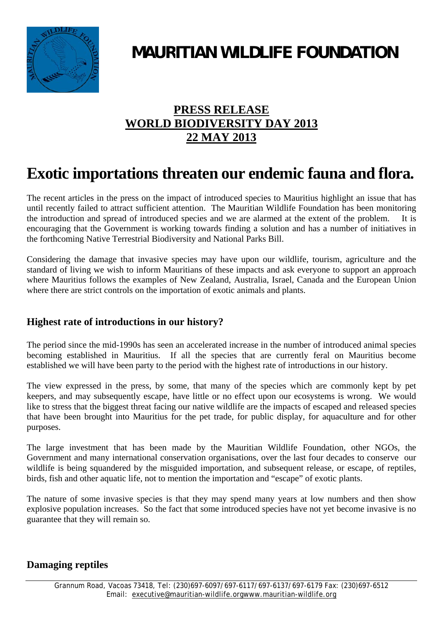

# **MAURITIAN WILDLIFE FOUNDATION**

### **PRESS RELEASE WORLD BIODIVERSITY DAY 2013 22 MAY 2013**

## **Exotic importations threaten our endemic fauna and flora.**

The recent articles in the press on the impact of introduced species to Mauritius highlight an issue that has until recently failed to attract sufficient attention. The Mauritian Wildlife Foundation has been monitoring the introduction and spread of introduced species and we are alarmed at the extent of the problem. It is encouraging that the Government is working towards finding a solution and has a number of initiatives in the forthcoming Native Terrestrial Biodiversity and National Parks Bill.

Considering the damage that invasive species may have upon our wildlife, tourism, agriculture and the standard of living we wish to inform Mauritians of these impacts and ask everyone to support an approach where Mauritius follows the examples of New Zealand, Australia, Israel, Canada and the European Union where there are strict controls on the importation of exotic animals and plants.

#### **Highest rate of introductions in our history?**

The period since the mid-1990s has seen an accelerated increase in the number of introduced animal species becoming established in Mauritius. If all the species that are currently feral on Mauritius become established we will have been party to the period with the highest rate of introductions in our history.

The view expressed in the press, by some, that many of the species which are commonly kept by pet keepers, and may subsequently escape, have little or no effect upon our ecosystems is wrong. We would like to stress that the biggest threat facing our native wildlife are the impacts of escaped and released species that have been brought into Mauritius for the pet trade, for public display, for aquaculture and for other purposes.

The large investment that has been made by the Mauritian Wildlife Foundation, other NGOs, the Government and many international conservation organisations, over the last four decades to conserve our wildlife is being squandered by the misguided importation, and subsequent release, or escape, of reptiles, birds, fish and other aquatic life, not to mention the importation and "escape" of exotic plants.

The nature of some invasive species is that they may spend many years at low numbers and then show explosive population increases. So the fact that some introduced species have not yet become invasive is no guarantee that they will remain so.

#### **Damaging reptiles**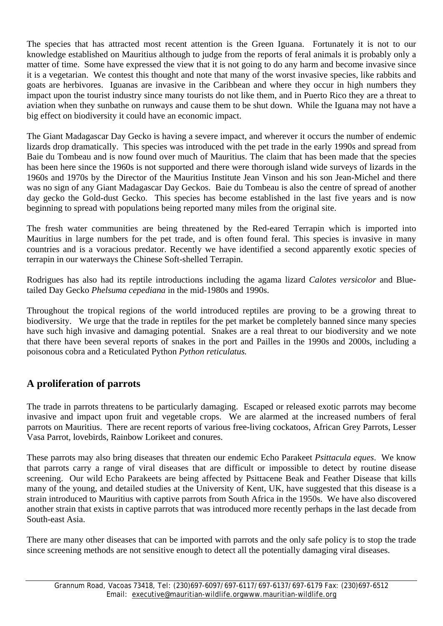The species that has attracted most recent attention is the Green Iguana. Fortunately it is not to our knowledge established on Mauritius although to judge from the reports of feral animals it is probably only a matter of time. Some have expressed the view that it is not going to do any harm and become invasive since it is a vegetarian. We contest this thought and note that many of the worst invasive species, like rabbits and goats are herbivores. Iguanas are invasive in the Caribbean and where they occur in high numbers they impact upon the tourist industry since many tourists do not like them, and in Puerto Rico they are a threat to aviation when they sunbathe on runways and cause them to be shut down. While the Iguana may not have a big effect on biodiversity it could have an economic impact.

The Giant Madagascar Day Gecko is having a severe impact, and wherever it occurs the number of endemic lizards drop dramatically. This species was introduced with the pet trade in the early 1990s and spread from Baie du Tombeau and is now found over much of Mauritius. The claim that has been made that the species has been here since the 1960s is not supported and there were thorough island wide surveys of lizards in the 1960s and 1970s by the Director of the Mauritius Institute Jean Vinson and his son Jean-Michel and there was no sign of any Giant Madagascar Day Geckos. Baie du Tombeau is also the centre of spread of another day gecko the Gold-dust Gecko. This species has become established in the last five years and is now beginning to spread with populations being reported many miles from the original site.

The fresh water communities are being threatened by the Red-eared Terrapin which is imported into Mauritius in large numbers for the pet trade, and is often found feral. This species is invasive in many countries and is a voracious predator. Recently we have identified a second apparently exotic species of terrapin in our waterways the Chinese Soft-shelled Terrapin.

Rodrigues has also had its reptile introductions including the agama lizard *Calotes versicolor* and Bluetailed Day Gecko *Phelsuma cepediana* in the mid-1980s and 1990s.

Throughout the tropical regions of the world introduced reptiles are proving to be a growing threat to biodiversity. We urge that the trade in reptiles for the pet market be completely banned since many species have such high invasive and damaging potential. Snakes are a real threat to our biodiversity and we note that there have been several reports of snakes in the port and Pailles in the 1990s and 2000s, including a poisonous cobra and a Reticulated Python *Python reticulatus.*

#### **A proliferation of parrots**

The trade in parrots threatens to be particularly damaging. Escaped or released exotic parrots may become invasive and impact upon fruit and vegetable crops. We are alarmed at the increased numbers of feral parrots on Mauritius. There are recent reports of various free-living cockatoos, African Grey Parrots, Lesser Vasa Parrot, lovebirds, Rainbow Lorikeet and conures.

These parrots may also bring diseases that threaten our endemic Echo Parakeet *Psittacula eques*. We know that parrots carry a range of viral diseases that are difficult or impossible to detect by routine disease screening. Our wild Echo Parakeets are being affected by Psittacene Beak and Feather Disease that kills many of the young, and detailed studies at the University of Kent, UK, have suggested that this disease is a strain introduced to Mauritius with captive parrots from South Africa in the 1950s. We have also discovered another strain that exists in captive parrots that was introduced more recently perhaps in the last decade from South-east Asia.

There are many other diseases that can be imported with parrots and the only safe policy is to stop the trade since screening methods are not sensitive enough to detect all the potentially damaging viral diseases.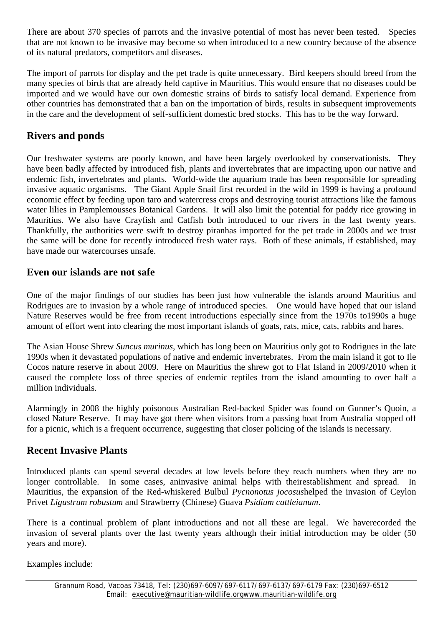There are about 370 species of parrots and the invasive potential of most has never been tested. Species that are not known to be invasive may become so when introduced to a new country because of the absence of its natural predators, competitors and diseases.

The import of parrots for display and the pet trade is quite unnecessary. Bird keepers should breed from the many species of birds that are already held captive in Mauritius. This would ensure that no diseases could be imported and we would have our own domestic strains of birds to satisfy local demand. Experience from other countries has demonstrated that a ban on the importation of birds, results in subsequent improvements in the care and the development of self-sufficient domestic bred stocks. This has to be the way forward.

#### **Rivers and ponds**

Our freshwater systems are poorly known, and have been largely overlooked by conservationists. They have been badly affected by introduced fish, plants and invertebrates that are impacting upon our native and endemic fish, invertebrates and plants. World-wide the aquarium trade has been responsible for spreading invasive aquatic organisms. The Giant Apple Snail first recorded in the wild in 1999 is having a profound economic effect by feeding upon taro and watercress crops and destroying tourist attractions like the famous water lilies in Pamplemousses Botanical Gardens. It will also limit the potential for paddy rice growing in Mauritius. We also have Crayfish and Catfish both introduced to our rivers in the last twenty years. Thankfully, the authorities were swift to destroy piranhas imported for the pet trade in 2000s and we trust the same will be done for recently introduced fresh water rays. Both of these animals, if established, may have made our watercourses unsafe.

#### **Even our islands are not safe**

One of the major findings of our studies has been just how vulnerable the islands around Mauritius and Rodrigues are to invasion by a whole range of introduced species. One would have hoped that our island Nature Reserves would be free from recent introductions especially since from the 1970s to1990s a huge amount of effort went into clearing the most important islands of goats, rats, mice, cats, rabbits and hares.

The Asian House Shrew *Suncus murinus,* which has long been on Mauritius only got to Rodrigues in the late 1990s when it devastated populations of native and endemic invertebrates. From the main island it got to Ile Cocos nature reserve in about 2009. Here on Mauritius the shrew got to Flat Island in 2009/2010 when it caused the complete loss of three species of endemic reptiles from the island amounting to over half a million individuals.

Alarmingly in 2008 the highly poisonous Australian Red-backed Spider was found on Gunner's Quoin, a closed Nature Reserve. It may have got there when visitors from a passing boat from Australia stopped off for a picnic, which is a frequent occurrence, suggesting that closer policing of the islands is necessary.

#### **Recent Invasive Plants**

Introduced plants can spend several decades at low levels before they reach numbers when they are no longer controllable. In some cases, aninvasive animal helps with theirestablishment and spread. In Mauritius, the expansion of the Red-whiskered Bulbul *Pycnonotus jocosus*helped the invasion of Ceylon Privet *Ligustrum robustum* and Strawberry (Chinese) Guava *Psidium cattleianum*.

There is a continual problem of plant introductions and not all these are legal. We haverecorded the invasion of several plants over the last twenty years although their initial introduction may be older (50 years and more).

Examples include: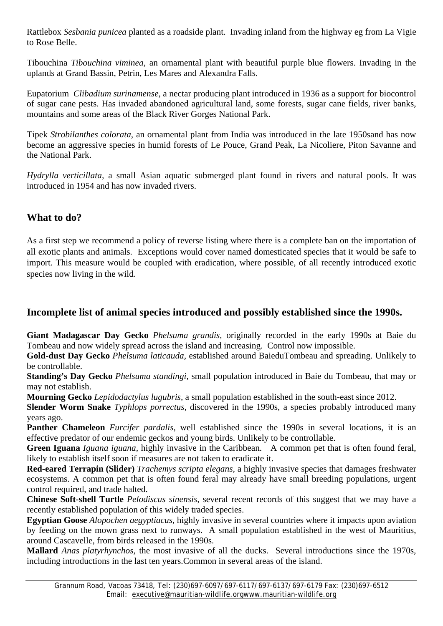Rattlebox *Sesbania punicea* planted as a roadside plant. Invading inland from the highway eg from La Vigie to Rose Belle.

Tibouchina *Tibouchina viminea*, an ornamental plant with beautiful purple blue flowers. Invading in the uplands at Grand Bassin, Petrin, Les Mares and Alexandra Falls.

Eupatorium *Clibadium surinamense*, a nectar producing plant introduced in 1936 as a support for biocontrol of sugar cane pests. Has invaded abandoned agricultural land, some forests, sugar cane fields, river banks, mountains and some areas of the Black River Gorges National Park.

Tipek *Strobilanthes colorata*, an ornamental plant from India was introduced in the late 1950sand has now become an aggressive species in humid forests of Le Pouce, Grand Peak, La Nicoliere, Piton Savanne and the National Park.

*Hydrylla verticillata,* a small Asian aquatic submerged plant found in rivers and natural pools. It was introduced in 1954 and has now invaded rivers.

#### **What to do?**

As a first step we recommend a policy of reverse listing where there is a complete ban on the importation of all exotic plants and animals. Exceptions would cover named domesticated species that it would be safe to import. This measure would be coupled with eradication, where possible, of all recently introduced exotic species now living in the wild.

#### **Incomplete list of animal species introduced and possibly established since the 1990s.**

**Giant Madagascar Day Gecko** *Phelsuma grandis,* originally recorded in the early 1990s at Baie du Tombeau and now widely spread across the island and increasing. Control now impossible.

**Gold-dust Day Gecko** *Phelsuma laticauda,* established around BaieduTombeau and spreading. Unlikely to be controllable.

**Standing's Day Gecko** *Phelsuma standingi,* small population introduced in Baie du Tombeau, that may or may not establish.

**Mourning Gecko** *Lepidodactylus lugubris,* a small population established in the south-east since 2012.

**Slender Worm Snake** *Typhlops porrectus*, discovered in the 1990s, a species probably introduced many years ago.

**Panther Chameleon** *Furcifer pardalis,* well established since the 1990s in several locations, it is an effective predator of our endemic geckos and young birds. Unlikely to be controllable.

**Green Iguana** *Iguana iguana,* highly invasive in the Caribbean. A common pet that is often found feral, likely to establish itself soon if measures are not taken to eradicate it.

**Red-eared Terrapin (Slider)** *Trachemys scripta elegans,* a highly invasive species that damages freshwater ecosystems. A common pet that is often found feral may already have small breeding populations, urgent control required, and trade halted.

**Chinese Soft-shell Turtle** *Pelodiscus sinensis,* several recent records of this suggest that we may have a recently established population of this widely traded species.

**Egyptian Goose** *Alopochen aegyptiacus,* highly invasive in several countries where it impacts upon aviation by feeding on the mown grass next to runways. A small population established in the west of Mauritius, around Cascavelle, from birds released in the 1990s.

**Mallard** *Anas platyrhynchos,* the most invasive of all the ducks. Several introductions since the 1970s*,*  including introductions in the last ten years.Common in several areas of the island.